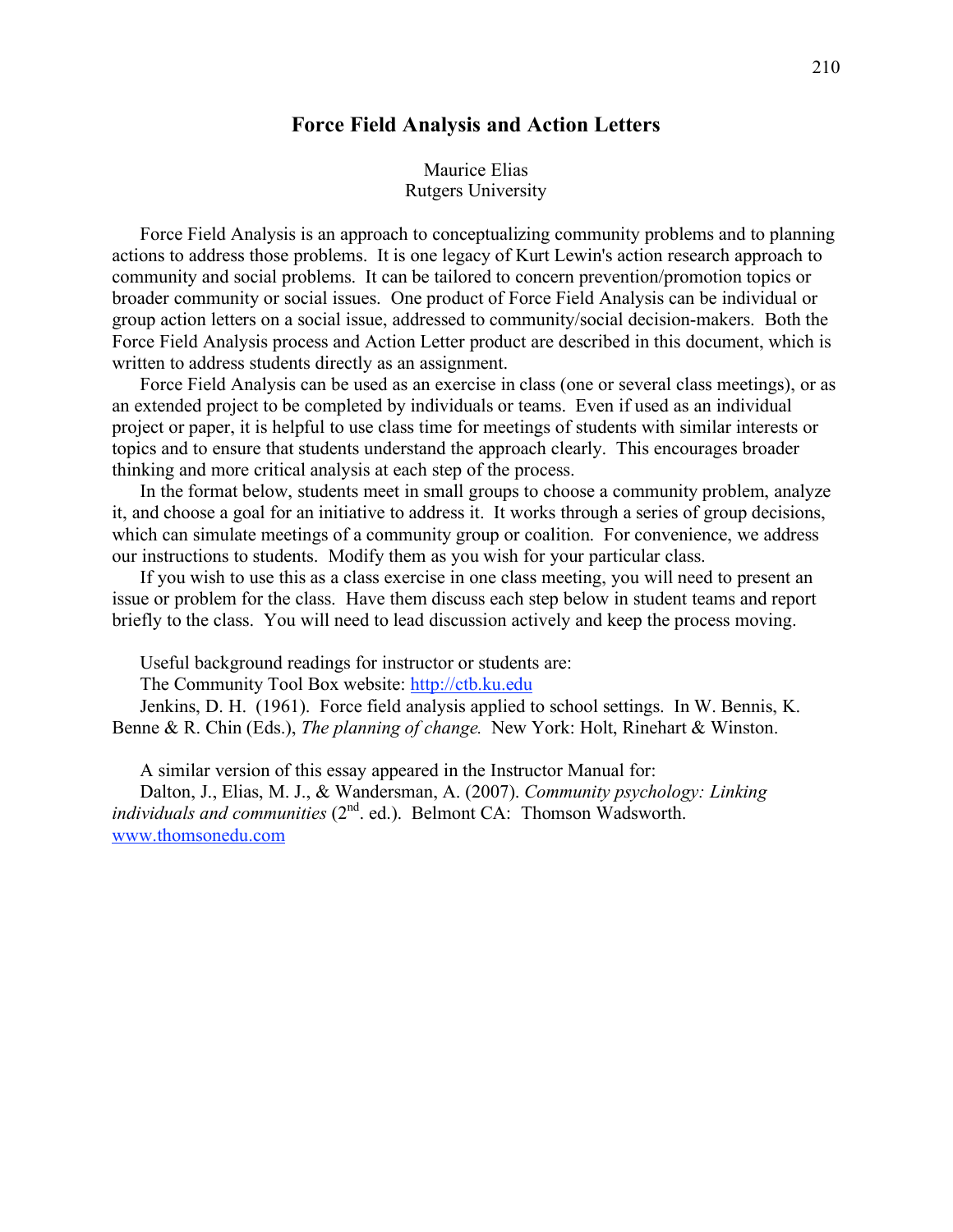# **Force Field Analysis and Action Letters**

## Maurice Elias Rutgers University

Force Field Analysis is an approach to conceptualizing community problems and to planning actions to address those problems. It is one legacy of Kurt Lewin's action research approach to community and social problems. It can be tailored to concern prevention/promotion topics or broader community or social issues. One product of Force Field Analysis can be individual or group action letters on a social issue, addressed to community/social decision-makers. Both the Force Field Analysis process and Action Letter product are described in this document, which is written to address students directly as an assignment.

Force Field Analysis can be used as an exercise in class (one or several class meetings), or as an extended project to be completed by individuals or teams. Even if used as an individual project or paper, it is helpful to use class time for meetings of students with similar interests or topics and to ensure that students understand the approach clearly. This encourages broader thinking and more critical analysis at each step of the process.

In the format below, students meet in small groups to choose a community problem, analyze it, and choose a goal for an initiative to address it. It works through a series of group decisions, which can simulate meetings of a community group or coalition. For convenience, we address our instructions to students. Modify them as you wish for your particular class.

If you wish to use this as a class exercise in one class meeting, you will need to present an issue or problem for the class. Have them discuss each step below in student teams and report briefly to the class. You will need to lead discussion actively and keep the process moving.

Useful background readings for instructor or students are:

The Community Tool Box website: http://ctb.ku.edu

Jenkins, D. H. (1961). Force field analysis applied to school settings. In W. Bennis, K. Benne & R. Chin (Eds.), *The planning of change.* New York: Holt, Rinehart & Winston.

A similar version of this essay appeared in the Instructor Manual for:

Dalton, J., Elias, M. J., & Wandersman, A. (2007). *Community psychology: Linking individuals and communities* (2<sup>nd</sup>. ed.). Belmont CA: Thomson Wadsworth. www.thomsonedu.com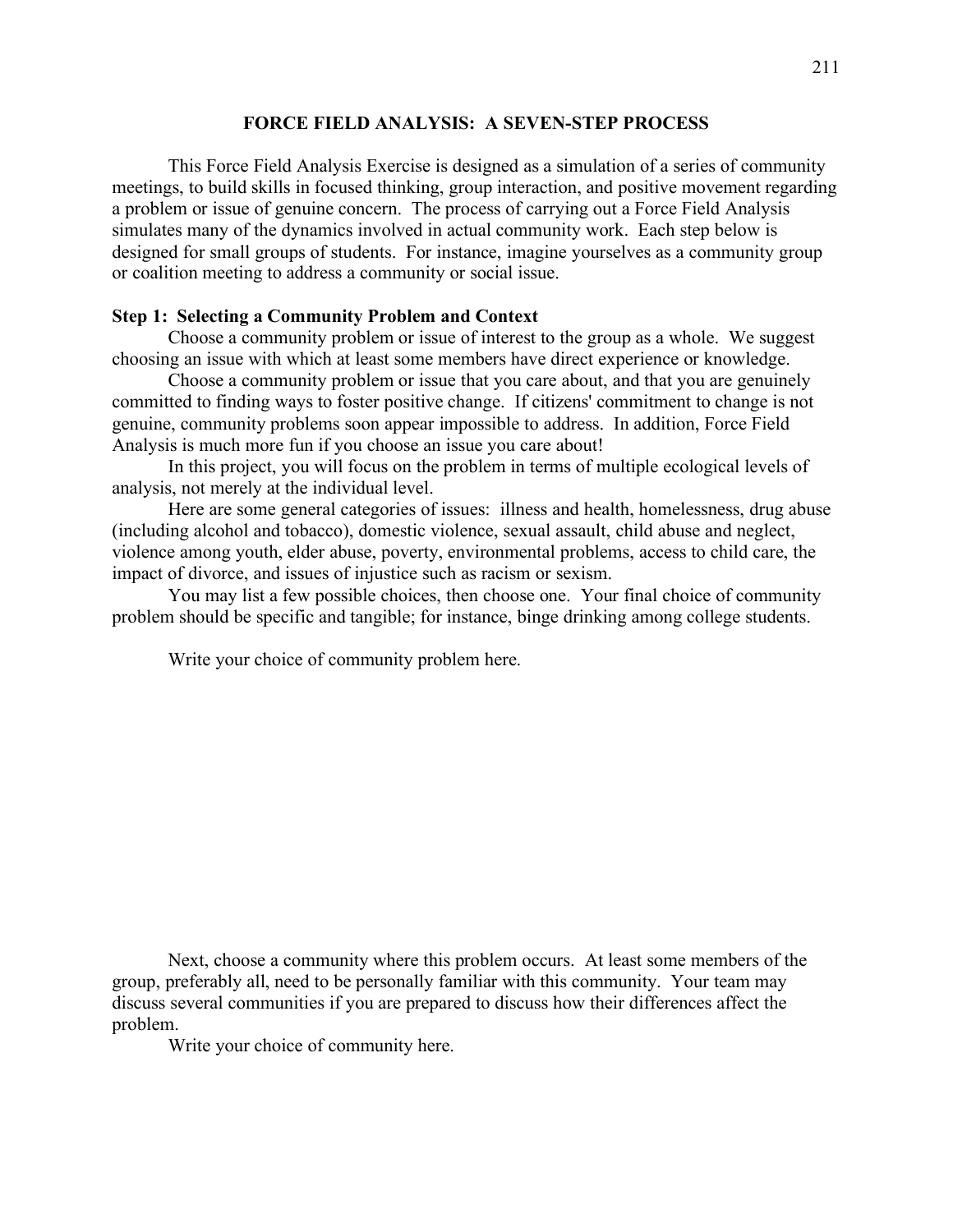#### **FORCE FIELD ANALYSIS: A SEVEN-STEP PROCESS**

This Force Field Analysis Exercise is designed as a simulation of a series of community meetings, to build skills in focused thinking, group interaction, and positive movement regarding a problem or issue of genuine concern. The process of carrying out a Force Field Analysis simulates many of the dynamics involved in actual community work. Each step below is designed for small groups of students. For instance, imagine yourselves as a community group or coalition meeting to address a community or social issue.

## **Step 1: Selecting a Community Problem and Context**

Choose a community problem or issue of interest to the group as a whole. We suggest choosing an issue with which at least some members have direct experience or knowledge.

Choose a community problem or issue that you care about, and that you are genuinely committed to finding ways to foster positive change. If citizens' commitment to change is not genuine, community problems soon appear impossible to address. In addition, Force Field Analysis is much more fun if you choose an issue you care about!

In this project, you will focus on the problem in terms of multiple ecological levels of analysis, not merely at the individual level.

Here are some general categories of issues: illness and health, homelessness, drug abuse (including alcohol and tobacco), domestic violence, sexual assault, child abuse and neglect, violence among youth, elder abuse, poverty, environmental problems, access to child care, the impact of divorce, and issues of injustice such as racism or sexism.

You may list a few possible choices, then choose one. Your final choice of community problem should be specific and tangible; for instance, binge drinking among college students.

Write your choice of community problem here.

Next, choose a community where this problem occurs. At least some members of the group, preferably all, need to be personally familiar with this community. Your team may discuss several communities if you are prepared to discuss how their differences affect the problem.

Write your choice of community here.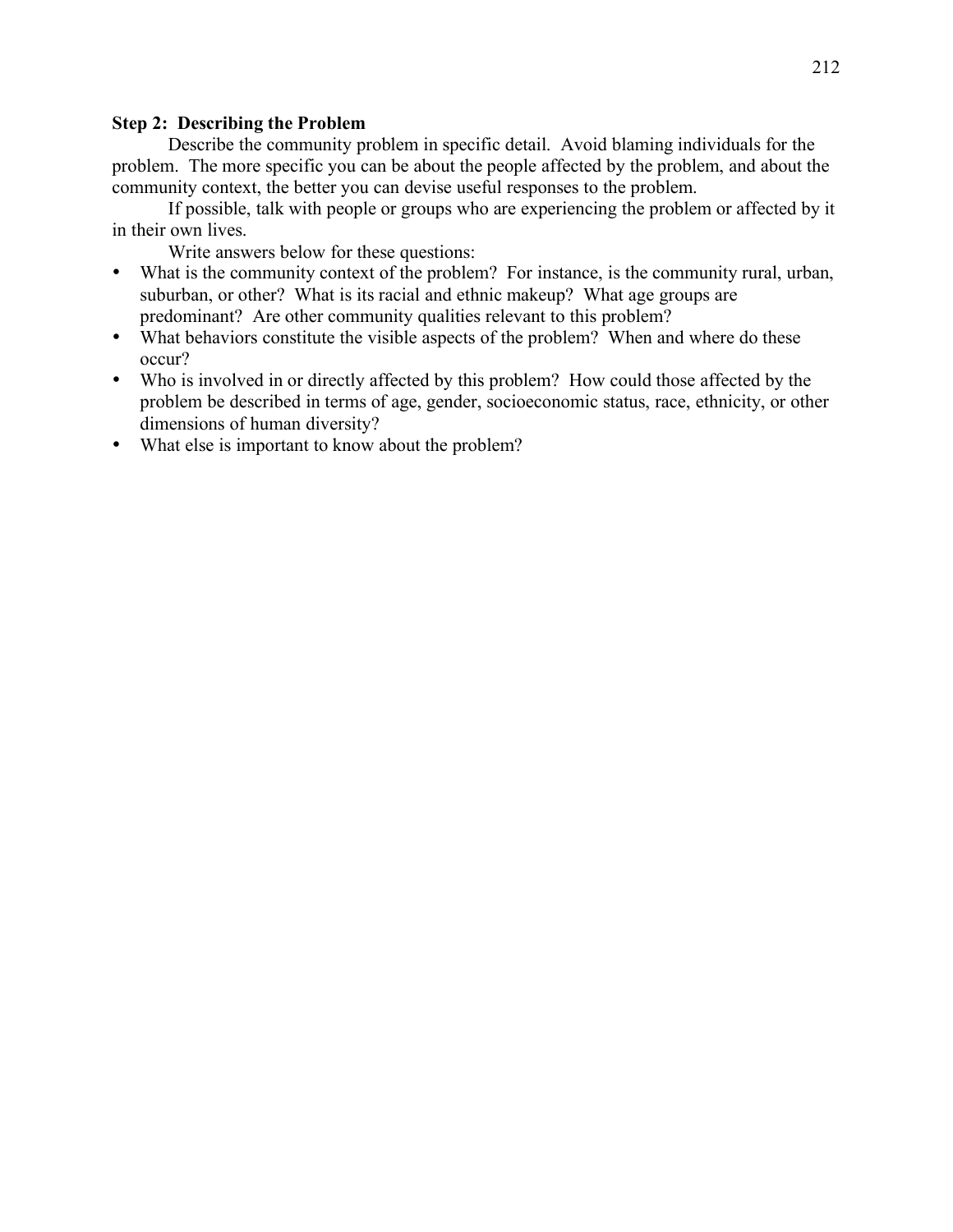# **Step 2: Describing the Problem**

Describe the community problem in specific detail. Avoid blaming individuals for the problem. The more specific you can be about the people affected by the problem, and about the community context, the better you can devise useful responses to the problem.

If possible, talk with people or groups who are experiencing the problem or affected by it in their own lives.

Write answers below for these questions:

- What is the community context of the problem? For instance, is the community rural, urban, suburban, or other? What is its racial and ethnic makeup? What age groups are predominant? Are other community qualities relevant to this problem?
- What behaviors constitute the visible aspects of the problem? When and where do these occur?
- Who is involved in or directly affected by this problem? How could those affected by the problem be described in terms of age, gender, socioeconomic status, race, ethnicity, or other dimensions of human diversity?
- What else is important to know about the problem?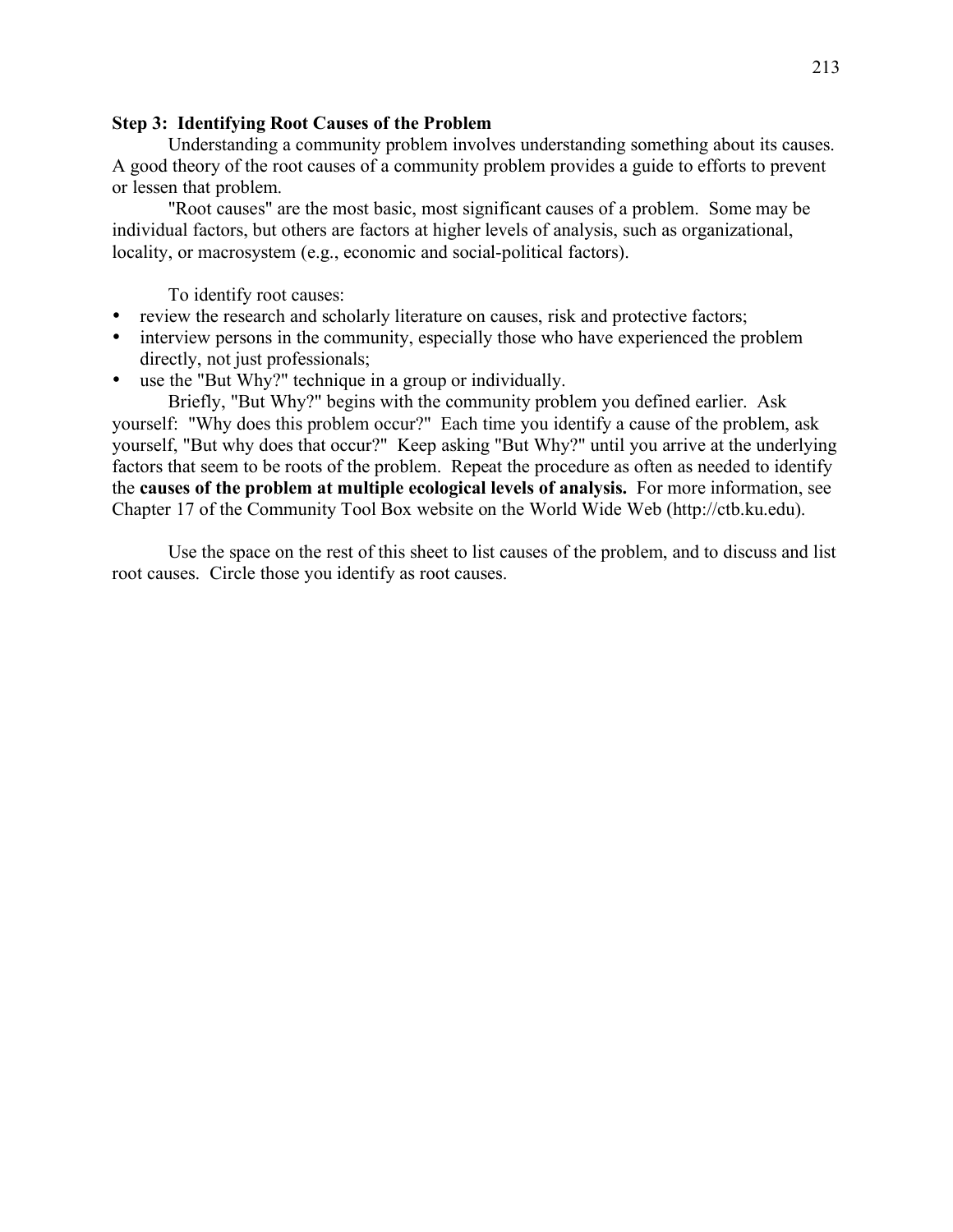# **Step 3: Identifying Root Causes of the Problem**

Understanding a community problem involves understanding something about its causes. A good theory of the root causes of a community problem provides a guide to efforts to prevent or lessen that problem.

"Root causes" are the most basic, most significant causes of a problem. Some may be individual factors, but others are factors at higher levels of analysis, such as organizational, locality, or macrosystem (e.g., economic and social-political factors).

To identify root causes:

- review the research and scholarly literature on causes, risk and protective factors;
- interview persons in the community, especially those who have experienced the problem directly, not just professionals;
- use the "But Why?" technique in a group or individually.

Briefly, "But Why?" begins with the community problem you defined earlier. Ask yourself: "Why does this problem occur?" Each time you identify a cause of the problem, ask yourself, "But why does that occur?" Keep asking "But Why?" until you arrive at the underlying factors that seem to be roots of the problem. Repeat the procedure as often as needed to identify the **causes of the problem at multiple ecological levels of analysis.** For more information, see Chapter 17 of the Community Tool Box website on the World Wide Web (http://ctb.ku.edu).

Use the space on the rest of this sheet to list causes of the problem, and to discuss and list root causes. Circle those you identify as root causes.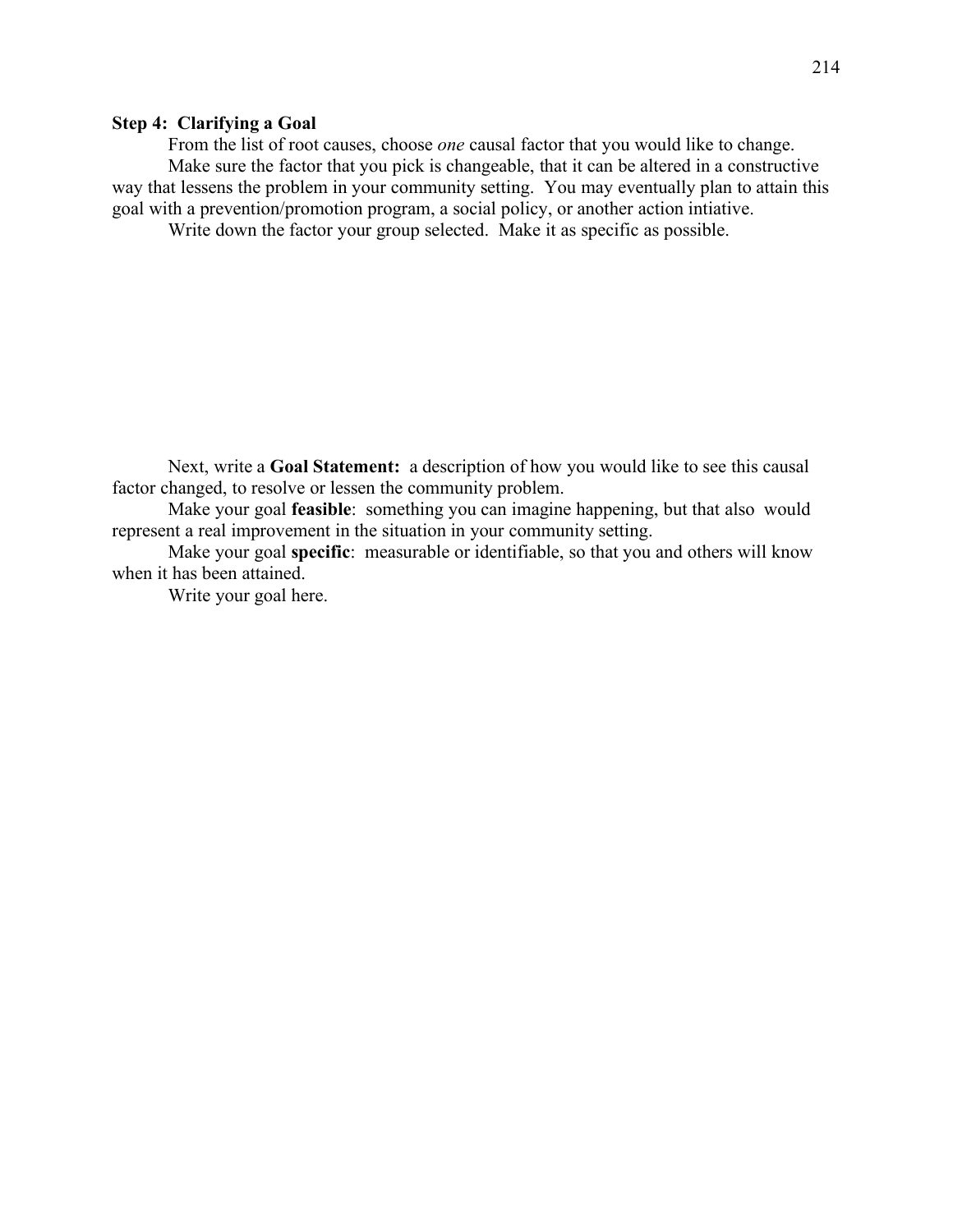# **Step 4: Clarifying a Goal**

From the list of root causes, choose *one* causal factor that you would like to change. Make sure the factor that you pick is changeable, that it can be altered in a constructive way that lessens the problem in your community setting. You may eventually plan to attain this goal with a prevention/promotion program, a social policy, or another action intiative.

Write down the factor your group selected. Make it as specific as possible.

Next, write a **Goal Statement:** a description of how you would like to see this causal factor changed, to resolve or lessen the community problem.

Make your goal **feasible**: something you can imagine happening, but that also would represent a real improvement in the situation in your community setting.

Make your goal **specific**: measurable or identifiable, so that you and others will know when it has been attained.

Write your goal here.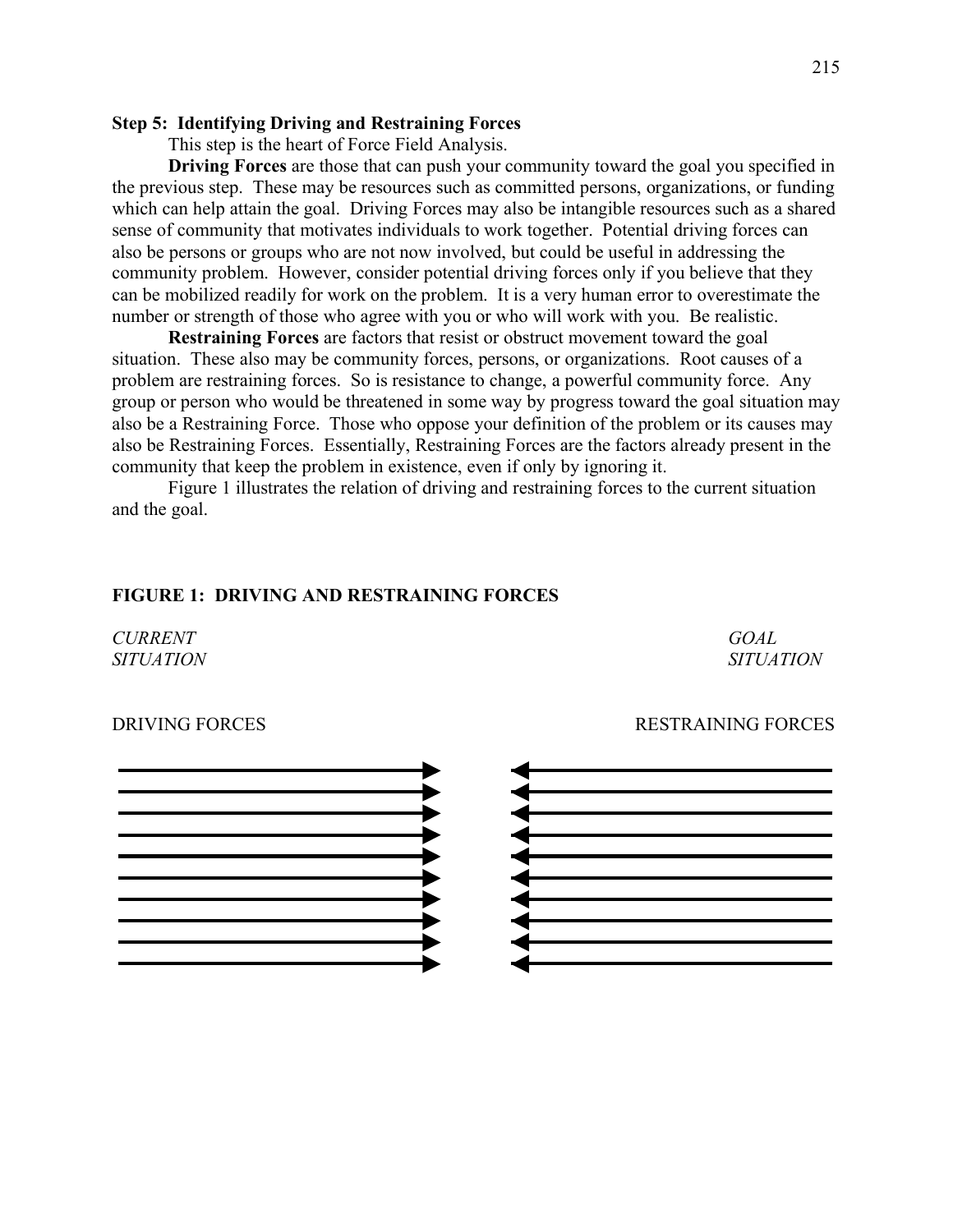## **Step 5: Identifying Driving and Restraining Forces**

This step is the heart of Force Field Analysis.

**Driving Forces** are those that can push your community toward the goal you specified in the previous step. These may be resources such as committed persons, organizations, or funding which can help attain the goal. Driving Forces may also be intangible resources such as a shared sense of community that motivates individuals to work together. Potential driving forces can also be persons or groups who are not now involved, but could be useful in addressing the community problem. However, consider potential driving forces only if you believe that they can be mobilized readily for work on the problem. It is a very human error to overestimate the number or strength of those who agree with you or who will work with you. Be realistic.

**Restraining Forces** are factors that resist or obstruct movement toward the goal situation. These also may be community forces, persons, or organizations. Root causes of a problem are restraining forces. So is resistance to change, a powerful community force. Any group or person who would be threatened in some way by progress toward the goal situation may also be a Restraining Force. Those who oppose your definition of the problem or its causes may also be Restraining Forces. Essentially, Restraining Forces are the factors already present in the community that keep the problem in existence, even if only by ignoring it.

Figure 1 illustrates the relation of driving and restraining forces to the current situation and the goal.

## **FIGURE 1: DRIVING AND RESTRAINING FORCES**

*CURRENT GOAL*

*SITUATION SITUATION*





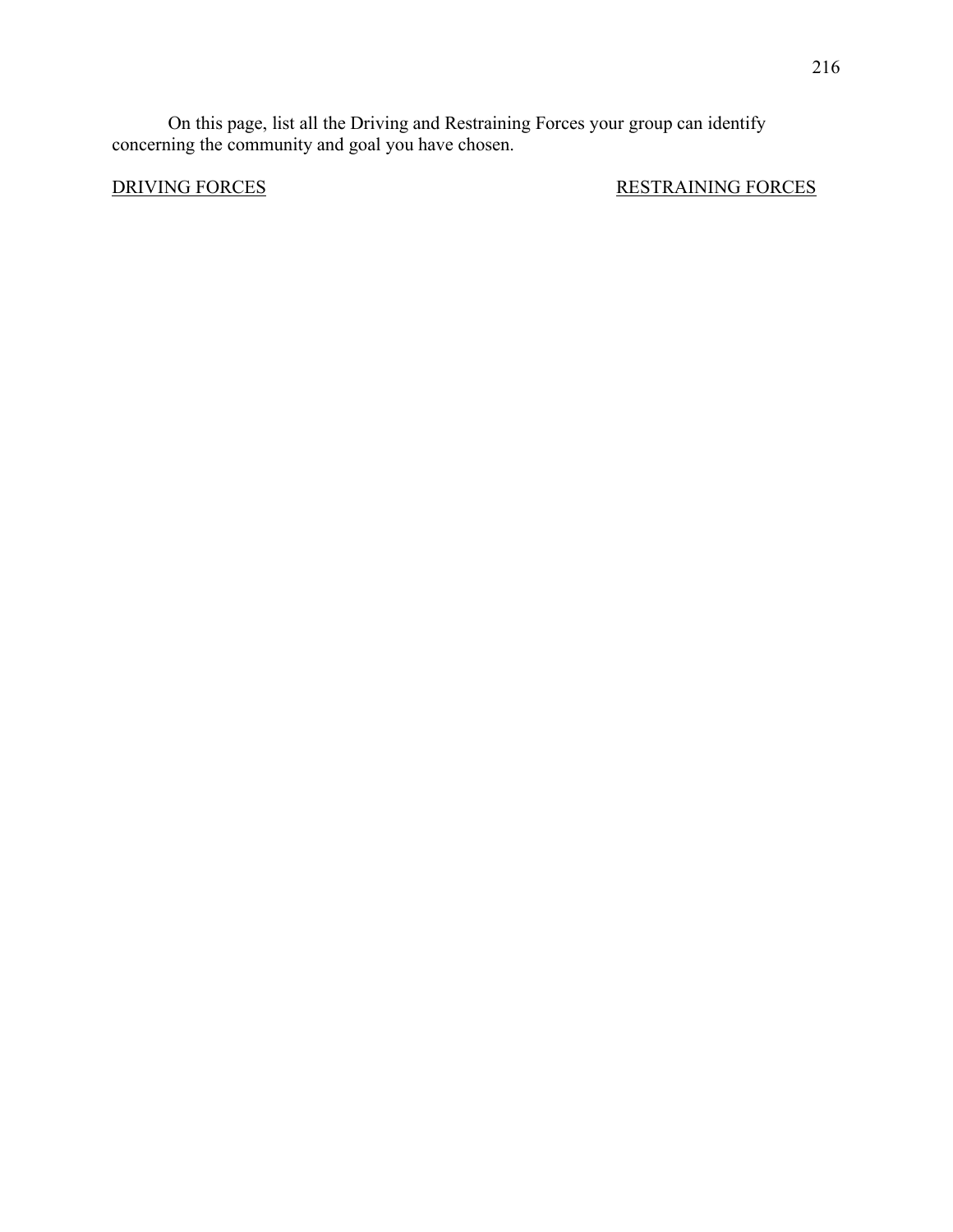On this page, list all the Driving and Restraining Forces your group can identify concerning the community and goal you have chosen.

**DRIVING FORCES** RESTRAINING FORCES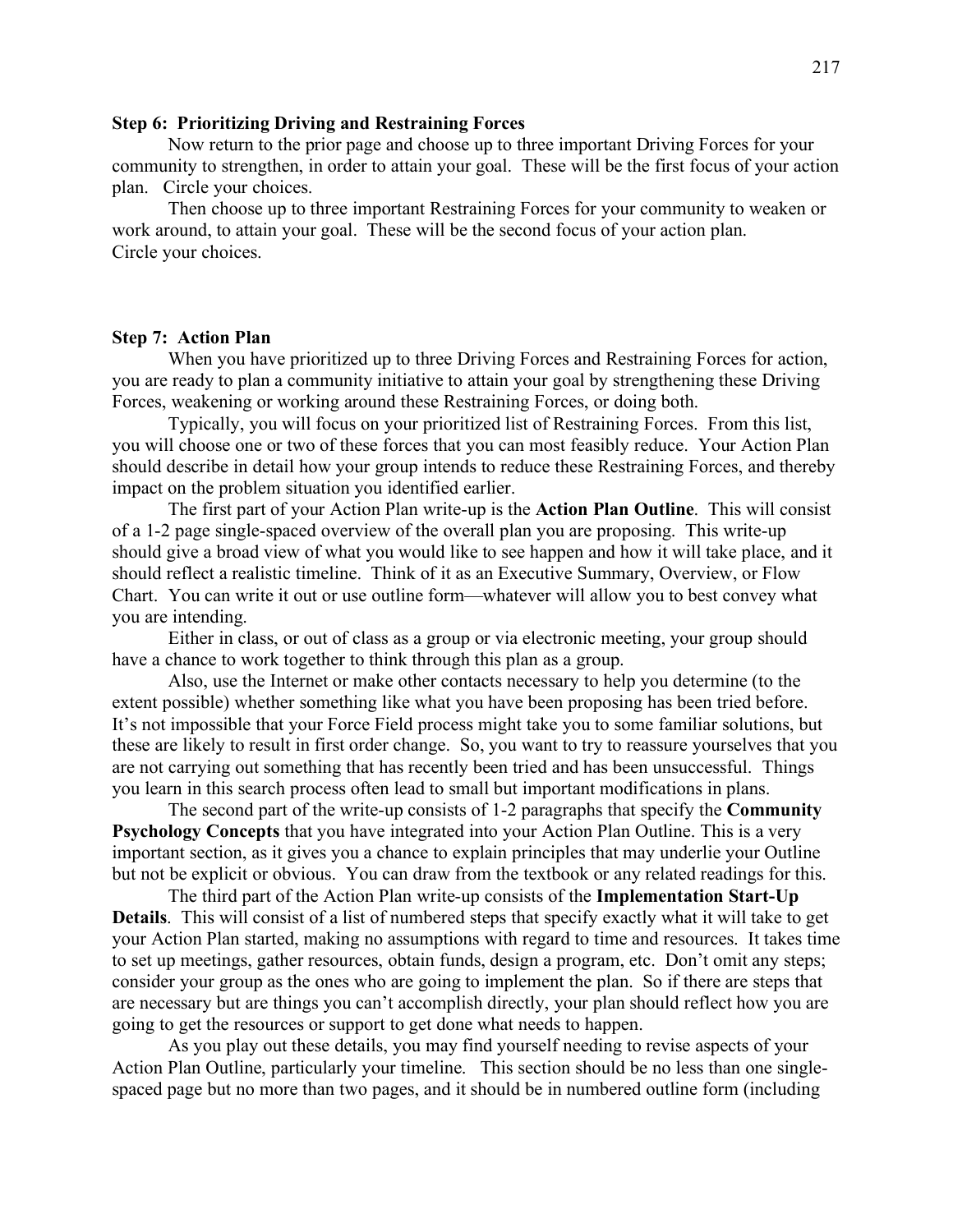#### **Step 6: Prioritizing Driving and Restraining Forces**

Now return to the prior page and choose up to three important Driving Forces for your community to strengthen, in order to attain your goal. These will be the first focus of your action plan. Circle your choices.

Then choose up to three important Restraining Forces for your community to weaken or work around, to attain your goal. These will be the second focus of your action plan. Circle your choices.

#### **Step 7: Action Plan**

When you have prioritized up to three Driving Forces and Restraining Forces for action, you are ready to plan a community initiative to attain your goal by strengthening these Driving Forces, weakening or working around these Restraining Forces, or doing both.

Typically, you will focus on your prioritized list of Restraining Forces. From this list, you will choose one or two of these forces that you can most feasibly reduce. Your Action Plan should describe in detail how your group intends to reduce these Restraining Forces, and thereby impact on the problem situation you identified earlier.

The first part of your Action Plan write-up is the **Action Plan Outline**. This will consist of a 1-2 page single-spaced overview of the overall plan you are proposing. This write-up should give a broad view of what you would like to see happen and how it will take place, and it should reflect a realistic timeline. Think of it as an Executive Summary, Overview, or Flow Chart. You can write it out or use outline form—whatever will allow you to best convey what you are intending.

Either in class, or out of class as a group or via electronic meeting, your group should have a chance to work together to think through this plan as a group.

Also, use the Internet or make other contacts necessary to help you determine (to the extent possible) whether something like what you have been proposing has been tried before. It's not impossible that your Force Field process might take you to some familiar solutions, but these are likely to result in first order change. So, you want to try to reassure yourselves that you are not carrying out something that has recently been tried and has been unsuccessful. Things you learn in this search process often lead to small but important modifications in plans.

The second part of the write-up consists of 1-2 paragraphs that specify the **Community Psychology Concepts** that you have integrated into your Action Plan Outline. This is a very important section, as it gives you a chance to explain principles that may underlie your Outline but not be explicit or obvious. You can draw from the textbook or any related readings for this.

The third part of the Action Plan write-up consists of the **Implementation Start-Up Details**. This will consist of a list of numbered steps that specify exactly what it will take to get your Action Plan started, making no assumptions with regard to time and resources. It takes time to set up meetings, gather resources, obtain funds, design a program, etc. Don't omit any steps; consider your group as the ones who are going to implement the plan. So if there are steps that are necessary but are things you can't accomplish directly, your plan should reflect how you are going to get the resources or support to get done what needs to happen.

As you play out these details, you may find yourself needing to revise aspects of your Action Plan Outline, particularly your timeline. This section should be no less than one singlespaced page but no more than two pages, and it should be in numbered outline form (including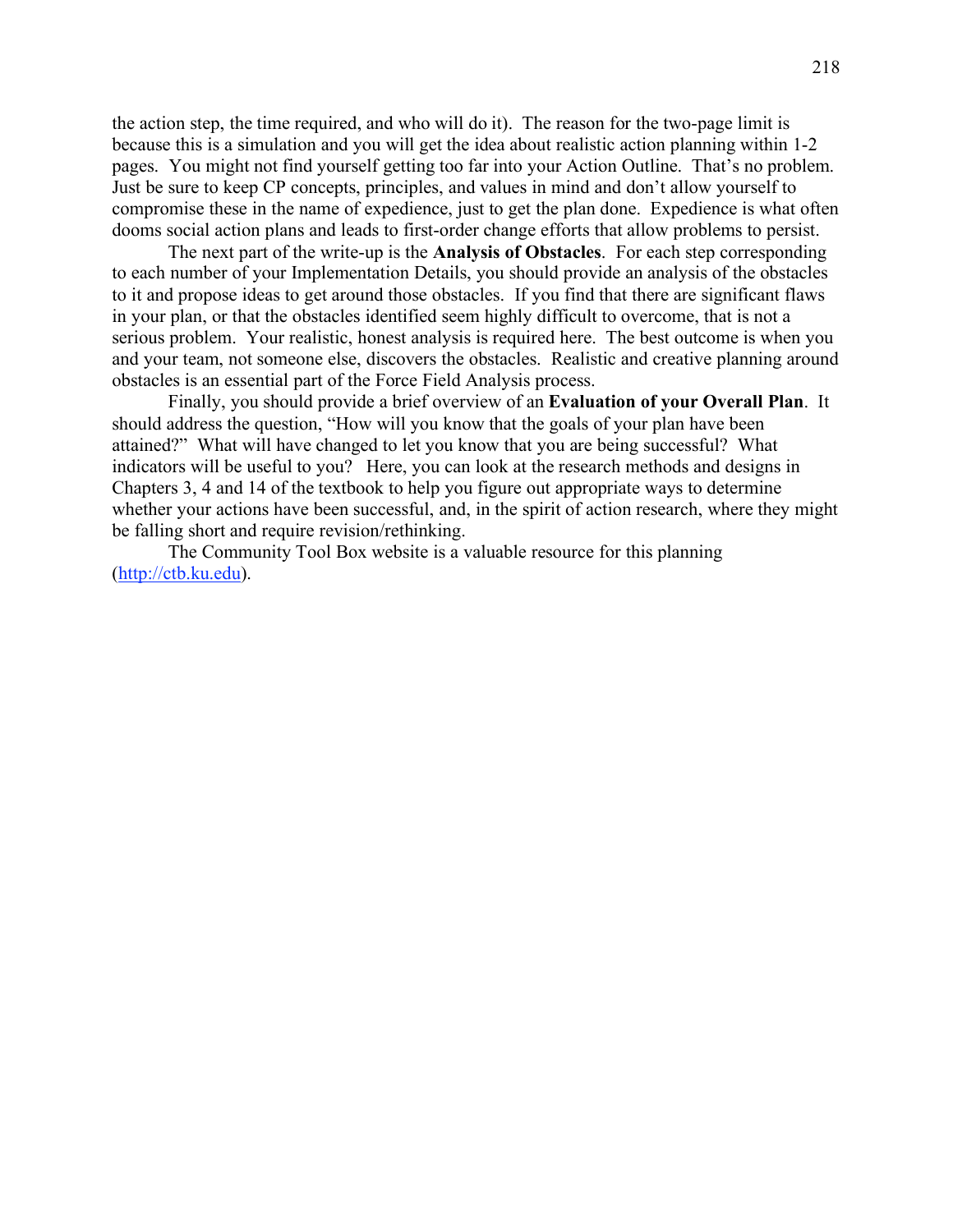the action step, the time required, and who will do it). The reason for the two-page limit is because this is a simulation and you will get the idea about realistic action planning within 1-2 pages. You might not find yourself getting too far into your Action Outline. That's no problem. Just be sure to keep CP concepts, principles, and values in mind and don't allow yourself to compromise these in the name of expedience, just to get the plan done. Expedience is what often dooms social action plans and leads to first-order change efforts that allow problems to persist.

The next part of the write-up is the **Analysis of Obstacles**. For each step corresponding to each number of your Implementation Details, you should provide an analysis of the obstacles to it and propose ideas to get around those obstacles. If you find that there are significant flaws in your plan, or that the obstacles identified seem highly difficult to overcome, that is not a serious problem. Your realistic, honest analysis is required here. The best outcome is when you and your team, not someone else, discovers the obstacles. Realistic and creative planning around obstacles is an essential part of the Force Field Analysis process.

Finally, you should provide a brief overview of an **Evaluation of your Overall Plan**. It should address the question, "How will you know that the goals of your plan have been attained?" What will have changed to let you know that you are being successful? What indicators will be useful to you? Here, you can look at the research methods and designs in Chapters 3, 4 and 14 of the textbook to help you figure out appropriate ways to determine whether your actions have been successful, and, in the spirit of action research, where they might be falling short and require revision/rethinking.

The Community Tool Box website is a valuable resource for this planning (http://ctb.ku.edu).